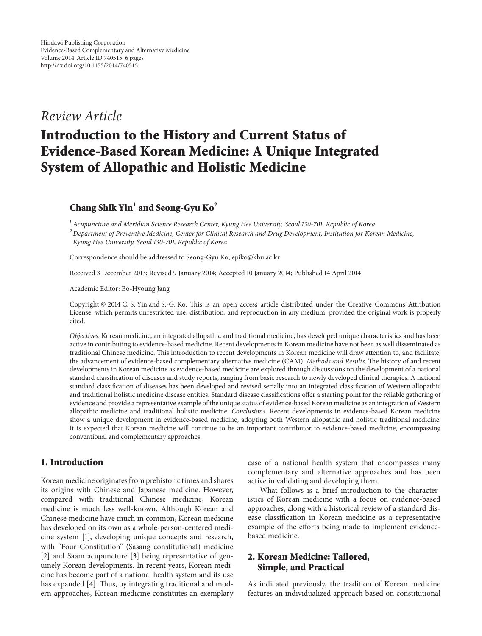## *Review Article*

# **Introduction to the History and Current Status of Evidence-Based Korean Medicine: A Unique Integrated System of Allopathic and Holistic Medicine**

**Chang Shik Yin<sup>1</sup> and Seong-Gyu Ko<sup>2</sup>**

*<sup>1</sup> Acupuncture and Meridian Science Research Center, Kyung Hee University, Seoul 130-701, Republic of Korea*

*<sup>2</sup> Department of Preventive Medicine, Center for Clinical Research and Drug Development, Institution for Korean Medicine, Kyung Hee University, Seoul 130-701, Republic of Korea*

Correspondence should be addressed to Seong-Gyu Ko; epiko@khu.ac.kr

Received 3 December 2013; Revised 9 January 2014; Accepted 10 January 2014; Published 14 April 2014

Academic Editor: Bo-Hyoung Jang

Copyright © 2014 C. S. Yin and S.-G. Ko. This is an open access article distributed under the Creative Commons Attribution License, which permits unrestricted use, distribution, and reproduction in any medium, provided the original work is properly cited.

*Objectives*. Korean medicine, an integrated allopathic and traditional medicine, has developed unique characteristics and has been active in contributing to evidence-based medicine. Recent developments in Korean medicine have not been as well disseminated as traditional Chinese medicine. This introduction to recent developments in Korean medicine will draw attention to, and facilitate, the advancement of evidence-based complementary alternative medicine (CAM). *Methods and Results*. The history of and recent developments in Korean medicine as evidence-based medicine are explored through discussions on the development of a national standard classification of diseases and study reports, ranging from basic research to newly developed clinical therapies. A national standard classification of diseases has been developed and revised serially into an integrated classification of Western allopathic and traditional holistic medicine disease entities. Standard disease classifications offer a starting point for the reliable gathering of evidence and provide a representative example of the unique status of evidence-based Korean medicine as an integration of Western allopathic medicine and traditional holistic medicine. *Conclusions*. Recent developments in evidence-based Korean medicine show a unique development in evidence-based medicine, adopting both Western allopathic and holistic traditional medicine. It is expected that Korean medicine will continue to be an important contributor to evidence-based medicine, encompassing conventional and complementary approaches.

#### **1. Introduction**

Korean medicine originates from prehistoric times and shares its origins with Chinese and Japanese medicine. However, compared with traditional Chinese medicine, Korean medicine is much less well-known. Although Korean and Chinese medicine have much in common, Korean medicine has developed on its own as a whole-person-centered medicine system [\[1\]](#page-4-0), developing unique concepts and research, with "Four Constitution" (Sasang constitutional) medicine [\[2\]](#page-4-1) and Saam acupuncture [\[3](#page-4-2)] being representative of genuinely Korean developments. In recent years, Korean medicine has become part of a national health system and its use has expanded [\[4](#page-4-3)]. Thus, by integrating traditional and modern approaches, Korean medicine constitutes an exemplary case of a national health system that encompasses many complementary and alternative approaches and has been active in validating and developing them.

What follows is a brief introduction to the characteristics of Korean medicine with a focus on evidence-based approaches, along with a historical review of a standard disease classification in Korean medicine as a representative example of the efforts being made to implement evidencebased medicine.

## **2. Korean Medicine: Tailored, Simple, and Practical**

As indicated previously, the tradition of Korean medicine features an individualized approach based on constitutional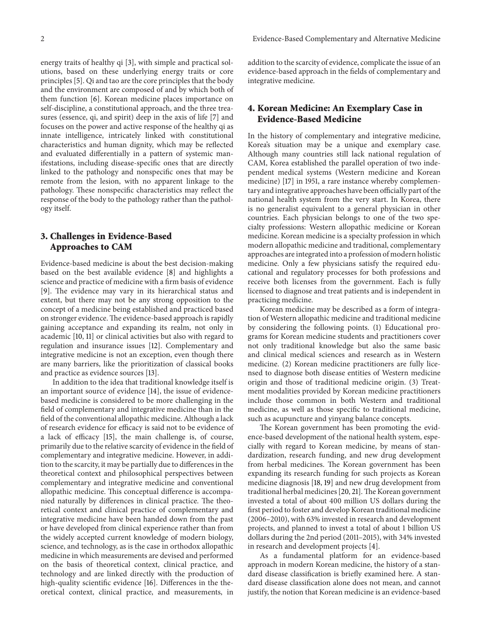energy traits of healthy qi [\[3\]](#page-4-2), with simple and practical solutions, based on these underlying energy traits or core principles [\[5\]](#page-4-4). Qi and tao are the core principles that the body and the environment are composed of and by which both of them function [\[6\]](#page-4-5). Korean medicine places importance on self-discipline, a constitutional approach, and the three treasures (essence, qi, and spirit) deep in the axis of life [\[7](#page-4-6)] and focuses on the power and active response of the healthy qi as innate intelligence, intricately linked with constitutional characteristics and human dignity, which may be reflected and evaluated differentially in a pattern of systemic manifestations, including disease-specific ones that are directly linked to the pathology and nonspecific ones that may be remote from the lesion, with no apparent linkage to the pathology. These nonspecific characteristics may reflect the response of the body to the pathology rather than the pathology itself.

## **3. Challenges in Evidence-Based Approaches to CAM**

Evidence-based medicine is about the best decision-making based on the best available evidence [\[8](#page-4-7)] and highlights a science and practice of medicine with a firm basis of evidence [\[9\]](#page-4-8). The evidence may vary in its hierarchical status and extent, but there may not be any strong opposition to the concept of a medicine being established and practiced based on stronger evidence.The evidence-based approach is rapidly gaining acceptance and expanding its realm, not only in academic [\[10](#page-4-9), [11\]](#page-4-10) or clinical activities but also with regard to regulation and insurance issues [\[12](#page-4-11)]. Complementary and integrative medicine is not an exception, even though there are many barriers, like the prioritization of classical books and practice as evidence sources [\[13](#page-4-12)].

In addition to the idea that traditional knowledge itself is an important source of evidence [\[14](#page-4-13)], the issue of evidencebased medicine is considered to be more challenging in the field of complementary and integrative medicine than in the field of the conventional allopathic medicine. Although a lack of research evidence for efficacy is said not to be evidence of a lack of efficacy [\[15\]](#page-4-14), the main challenge is, of course, primarily due to the relative scarcity of evidence in the field of complementary and integrative medicine. However, in addition to the scarcity, it may be partially due to differences in the theoretical context and philosophical perspectives between complementary and integrative medicine and conventional allopathic medicine. This conceptual difference is accompanied naturally by differences in clinical practice. The theoretical context and clinical practice of complementary and integrative medicine have been handed down from the past or have developed from clinical experience rather than from the widely accepted current knowledge of modern biology, science, and technology, as is the case in orthodox allopathic medicine in which measurements are devised and performed on the basis of theoretical context, clinical practice, and technology and are linked directly with the production of high-quality scientific evidence [\[16\]](#page-4-15). Differences in the theoretical context, clinical practice, and measurements, in

addition to the scarcity of evidence, complicate the issue of an evidence-based approach in the fields of complementary and integrative medicine.

## **4. Korean Medicine: An Exemplary Case in Evidence-Based Medicine**

In the history of complementary and integrative medicine, Korea's situation may be a unique and exemplary case. Although many countries still lack national regulation of CAM, Korea established the parallel operation of two independent medical systems (Western medicine and Korean medicine) [\[17\]](#page-4-16) in 1951, a rare instance whereby complementary and integrative approaches have been officially part of the national health system from the very start. In Korea, there is no generalist equivalent to a general physician in other countries. Each physician belongs to one of the two specialty professions: Western allopathic medicine or Korean medicine. Korean medicine is a specialty profession in which modern allopathic medicine and traditional, complementary approaches are integrated into a profession of modern holistic medicine. Only a few physicians satisfy the required educational and regulatory processes for both professions and receive both licenses from the government. Each is fully licensed to diagnose and treat patients and is independent in practicing medicine.

Korean medicine may be described as a form of integration of Western allopathic medicine and traditional medicine by considering the following points. (1) Educational programs for Korean medicine students and practitioners cover not only traditional knowledge but also the same basic and clinical medical sciences and research as in Western medicine. (2) Korean medicine practitioners are fully licensed to diagnose both disease entities of Western medicine origin and those of traditional medicine origin. (3) Treatment modalities provided by Korean medicine practitioners include those common in both Western and traditional medicine, as well as those specific to traditional medicine, such as acupuncture and yinyang balance concepts.

The Korean government has been promoting the evidence-based development of the national health system, especially with regard to Korean medicine, by means of standardization, research funding, and new drug development from herbal medicines. The Korean government has been expanding its research funding for such projects as Korean medicine diagnosis [\[18](#page-4-17), [19\]](#page-4-18) and new drug development from traditional herbal medicines [\[20](#page-4-19), [21](#page-4-20)].The Korean government invested a total of about 400 million US dollars during the first period to foster and develop Korean traditional medicine (2006–2010), with 63% invested in research and development projects, and planned to invest a total of about 1 billion US dollars during the 2nd period (2011–2015), with 34% invested in research and development projects [\[4\]](#page-4-3).

As a fundamental platform for an evidence-based approach in modern Korean medicine, the history of a standard disease classification is briefly examined here. A standard disease classification alone does not mean, and cannot justify, the notion that Korean medicine is an evidence-based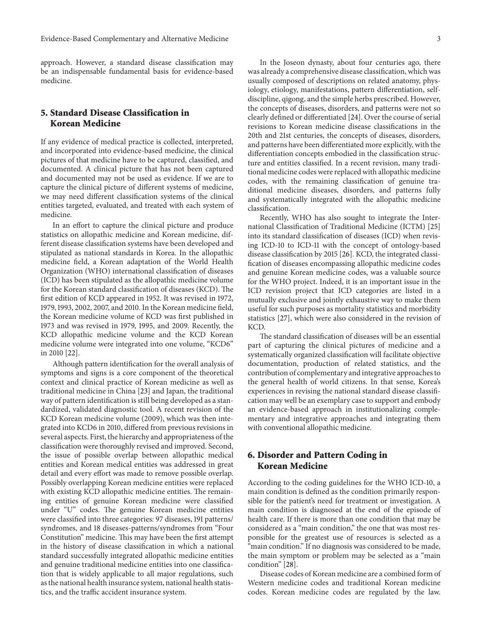approach. However, a standard disease classification may be an indispensable fundamental basis for evidence-based medicine.

## **5. Standard Disease Classification in Korean Medicine**

If any evidence of medical practice is collected, interpreted, and incorporated into evidence-based medicine, the clinical pictures of that medicine have to be captured, classified, and documented. A clinical picture that has not been captured and documented may not be used as evidence. If we are to capture the clinical picture of different systems of medicine, we may need different classification systems of the clinical entities targeted, evaluated, and treated with each system of medicine.

In an effort to capture the clinical picture and produce statistics on allopathic medicine and Korean medicine, different disease classification systems have been developed and stipulated as national standards in Korea. In the allopathic medicine field, a Korean adaptation of the World Health Organization (WHO) international classification of diseases (ICD) has been stipulated as the allopathic medicine volume for the Korean standard classification of diseases (KCD). The first edition of KCD appeared in 1952. It was revised in 1972, 1979, 1993, 2002, 2007, and 2010. In the Korean medicine field, the Korean medicine volume of KCD was first published in 1973 and was revised in 1979, 1995, and 2009. Recently, the KCD allopathic medicine volume and the KCD Korean medicine volume were integrated into one volume, "KCD6" in 2010 [\[22\]](#page-4-21).

Although pattern identification for the overall analysis of symptoms and signs is a core component of the theoretical context and clinical practice of Korean medicine as well as traditional medicine in China [\[23\]](#page-4-22) and Japan, the traditional way of pattern identification is still being developed as a standardized, validated diagnostic tool. A recent revision of the KCD Korean medicine volume (2009), which was then integrated into KCD6 in 2010, differed from previous revisions in several aspects. First, the hierarchy and appropriateness of the classification were thoroughly revised and improved. Second, the issue of possible overlap between allopathic medical entities and Korean medical entities was addressed in great detail and every effort was made to remove possible overlap. Possibly overlapping Korean medicine entities were replaced with existing KCD allopathic medicine entities. The remaining entities of genuine Korean medicine were classified under "U" codes. The genuine Korean medicine entities were classified into three categories: 97 diseases, 191 patterns/ syndromes, and 18 diseases-patterns/syndromes from "Four Constitution" medicine. This may have been the first attempt in the history of disease classification in which a national standard successfully integrated allopathic medicine entities and genuine traditional medicine entities into one classification that is widely applicable to all major regulations, such as the national health insurance system, national health statistics, and the traffic accident insurance system.

In the Joseon dynasty, about four centuries ago, there was already a comprehensive disease classification, which was usually composed of descriptions on related anatomy, physiology, etiology, manifestations, pattern differentiation, selfdiscipline, qigong, and the simple herbs prescribed. However, the concepts of diseases, disorders, and patterns were not so clearly defined or differentiated [\[24](#page-4-23)]. Over the course of serial revisions to Korean medicine disease classifications in the 20th and 21st centuries, the concepts of diseases, disorders, and patterns have been differentiated more explicitly, with the differentiation concepts embodied in the classification structure and entities classified. In a recent revision, many traditional medicine codes were replaced with allopathic medicine codes, with the remaining classification of genuine traditional medicine diseases, disorders, and patterns fully and systematically integrated with the allopathic medicine classification.

Recently, WHO has also sought to integrate the International Classification of Traditional Medicine (ICTM) [\[25](#page-4-24)] into its standard classification of diseases (ICD) when revising ICD-10 to ICD-11 with the concept of ontology-based disease classification by 2015 [\[26\]](#page-4-25). KCD, the integrated classification of diseases encompassing allopathic medicine codes and genuine Korean medicine codes, was a valuable source for the WHO project. Indeed, it is an important issue in the ICD revision project that ICD categories are listed in a mutually exclusive and jointly exhaustive way to make them useful for such purposes as mortality statistics and morbidity statistics [\[27\]](#page-5-0), which were also considered in the revision of KCD.

The standard classification of diseases will be an essential part of capturing the clinical pictures of medicine and a systematically organized classification will facilitate objective documentation, production of related statistics, and the contribution of complementary and integrative approaches to the general health of world citizens. In that sense, Korea's experiences in revising the national standard disease classification may well be an exemplary case to support and embody an evidence-based approach in institutionalizing complementary and integrative approaches and integrating them with conventional allopathic medicine.

## **6. Disorder and Pattern Coding in Korean Medicine**

According to the coding guidelines for the WHO ICD-10, a main condition is defined as the condition primarily responsible for the patient's need for treatment or investigation. A main condition is diagnosed at the end of the episode of health care. If there is more than one condition that may be considered as a "main condition," the one that was most responsible for the greatest use of resources is selected as a "main condition." If no diagnosis was considered to be made, the main symptom or problem may be selected as a "main condition" [\[28](#page-5-1)].

Disease codes of Korean medicine are a combined form of Western medicine codes and traditional Korean medicine codes. Korean medicine codes are regulated by the law.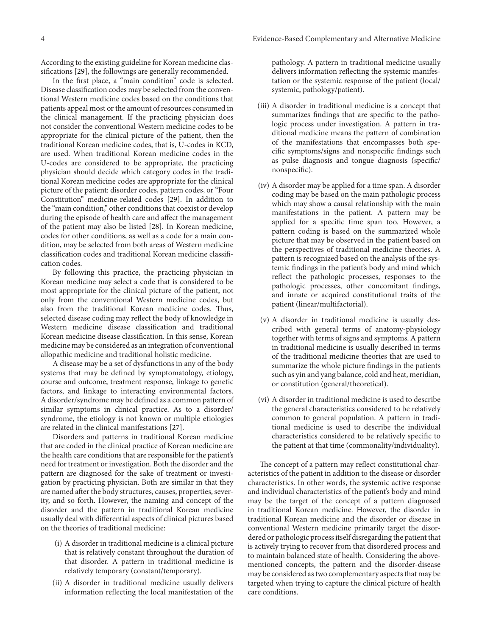According to the existing guideline for Korean medicine classifications [\[29\]](#page-5-2), the followings are generally recommended.

In the first place, a "main condition" code is selected. Disease classification codes may be selected from the conventional Western medicine codes based on the conditions that patients appeal most or the amount of resources consumed in the clinical management. If the practicing physician does not consider the conventional Western medicine codes to be appropriate for the clinical picture of the patient, then the traditional Korean medicine codes, that is, U-codes in KCD, are used. When traditional Korean medicine codes in the U-codes are considered to be appropriate, the practicing physician should decide which category codes in the traditional Korean medicine codes are appropriate for the clinical picture of the patient: disorder codes, pattern codes, or "Four Constitution" medicine-related codes [\[29\]](#page-5-2). In addition to the "main condition," other conditions that coexist or develop during the episode of health care and affect the management of the patient may also be listed [\[28](#page-5-1)]. In Korean medicine, codes for other conditions, as well as a code for a main condition, may be selected from both areas of Western medicine classification codes and traditional Korean medicine classification codes.

By following this practice, the practicing physician in Korean medicine may select a code that is considered to be most appropriate for the clinical picture of the patient, not only from the conventional Western medicine codes, but also from the traditional Korean medicine codes. Thus, selected disease coding may reflect the body of knowledge in Western medicine disease classification and traditional Korean medicine disease classification. In this sense, Korean medicine may be considered as an integration of conventional allopathic medicine and traditional holistic medicine.

A disease may be a set of dysfunctions in any of the body systems that may be defined by symptomatology, etiology, course and outcome, treatment response, linkage to genetic factors, and linkage to interacting environmental factors. A disorder/syndrome may be defined as a common pattern of similar symptoms in clinical practice. As to a disorder/ syndrome, the etiology is not known or multiple etiologies are related in the clinical manifestations [\[27\]](#page-5-0).

Disorders and patterns in traditional Korean medicine that are coded in the clinical practice of Korean medicine are the health care conditions that are responsible for the patient's need for treatment or investigation. Both the disorder and the pattern are diagnosed for the sake of treatment or investigation by practicing physician. Both are similar in that they are named after the body structures, causes, properties, severity, and so forth. However, the naming and concept of the disorder and the pattern in traditional Korean medicine usually deal with differential aspects of clinical pictures based on the theories of traditional medicine:

- (i) A disorder in traditional medicine is a clinical picture that is relatively constant throughout the duration of that disorder. A pattern in traditional medicine is relatively temporary (constant/temporary).
- (ii) A disorder in traditional medicine usually delivers information reflecting the local manifestation of the

pathology. A pattern in traditional medicine usually delivers information reflecting the systemic manifestation or the systemic response of the patient (local/ systemic, pathology/patient).

- (iii) A disorder in traditional medicine is a concept that summarizes findings that are specific to the pathologic process under investigation. A pattern in traditional medicine means the pattern of combination of the manifestations that encompasses both specific symptoms/signs and nonspecific findings such as pulse diagnosis and tongue diagnosis (specific/ nonspecific).
- (iv) A disorder may be applied for a time span. A disorder coding may be based on the main pathologic process which may show a causal relationship with the main manifestations in the patient. A pattern may be applied for a specific time span too. However, a pattern coding is based on the summarized whole picture that may be observed in the patient based on the perspectives of traditional medicine theories. A pattern is recognized based on the analysis of the systemic findings in the patient's body and mind which reflect the pathologic processes, responses to the pathologic processes, other concomitant findings, and innate or acquired constitutional traits of the patient (linear/multifactorial).
- (v) A disorder in traditional medicine is usually described with general terms of anatomy-physiology together with terms of signs and symptoms. A pattern in traditional medicine is usually described in terms of the traditional medicine theories that are used to summarize the whole picture findings in the patients such as yin and yang balance, cold and heat, meridian, or constitution (general/theoretical).
- (vi) A disorder in traditional medicine is used to describe the general characteristics considered to be relatively common to general population. A pattern in traditional medicine is used to describe the individual characteristics considered to be relatively specific to the patient at that time (commonality/individuality).

The concept of a pattern may reflect constitutional characteristics of the patient in addition to the disease or disorder characteristics. In other words, the systemic active response and individual characteristics of the patient's body and mind may be the target of the concept of a pattern diagnosed in traditional Korean medicine. However, the disorder in traditional Korean medicine and the disorder or disease in conventional Western medicine primarily target the disordered or pathologic process itself disregarding the patient that is actively trying to recover from that disordered process and to maintain balanced state of health. Considering the abovementioned concepts, the pattern and the disorder-disease may be considered as two complementary aspects that may be targeted when trying to capture the clinical picture of health care conditions.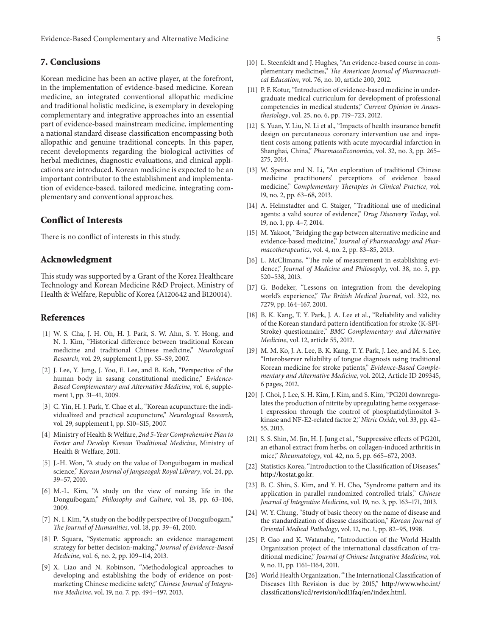Evidence-Based Complementary and Alternative Medicine 5

## **7. Conclusions**

Korean medicine has been an active player, at the forefront, in the implementation of evidence-based medicine. Korean medicine, an integrated conventional allopathic medicine and traditional holistic medicine, is exemplary in developing complementary and integrative approaches into an essential part of evidence-based mainstream medicine, implementing a national standard disease classification encompassing both allopathic and genuine traditional concepts. In this paper, recent developments regarding the biological activities of herbal medicines, diagnostic evaluations, and clinical applications are introduced. Korean medicine is expected to be an important contributor to the establishment and implementation of evidence-based, tailored medicine, integrating complementary and conventional approaches.

#### **Conflict of Interests**

There is no conflict of interests in this study.

#### **Acknowledgment**

This study was supported by a Grant of the Korea Healthcare Technology and Korean Medicine R&D Project, Ministry of Health & Welfare, Republic of Korea (A120642 and B120014).

#### **References**

- <span id="page-4-0"></span>[1] W. S. Cha, J. H. Oh, H. J. Park, S. W. Ahn, S. Y. Hong, and N. I. Kim, "Historical difference between traditional Korean medicine and traditional Chinese medicine," *Neurological Research*, vol. 29, supplement 1, pp. S5–S9, 2007.
- <span id="page-4-1"></span>[2] J. Lee, Y. Jung, J. Yoo, E. Lee, and B. Koh, "Perspective of the human body in sasang constitutional medicine," *Evidence-Based Complementary and Alternative Medicine*, vol. 6, supplement 1, pp. 31–41, 2009.
- <span id="page-4-2"></span>[3] C. Yin, H. J. Park, Y. Chae et al., "Korean acupuncture: the individualized and practical acupuncture," *Neurological Research*, vol. 29, supplement 1, pp. S10–S15, 2007.
- <span id="page-4-3"></span>[4] Ministry of Health & Welfare, *2nd 5-Year Comprehensive Plan to Foster and Develop Korean Traditional Medicine*, Ministry of Health & Welfare, 2011.
- <span id="page-4-4"></span>[5] J.-H. Won, "A study on the value of Donguibogam in medical science," *Korean Journal of Jangseogak Royal Library*, vol. 24, pp. 39–57, 2010.
- <span id="page-4-5"></span>[6] M.-L. Kim, "A study on the view of nursing life in the Donguibogam," *Philosophy and Culture*, vol. 18, pp. 63–106, 2009.
- <span id="page-4-6"></span>[7] N. I. Kim, "A study on the bodily perspective of Donguibogam," *The Journal of Humanities*, vol. 18, pp. 39–61, 2010.
- <span id="page-4-7"></span>[8] P. Squara, "Systematic approach: an evidence management strategy for better decision-making," *Journal of Evidence-Based Medicine*, vol. 6, no. 2, pp. 109–114, 2013.
- <span id="page-4-8"></span>[9] X. Liao and N. Robinson, "Methodological approaches to developing and establishing the body of evidence on postmarketing Chinese medicine safety," *Chinese Journal of Integrative Medicine*, vol. 19, no. 7, pp. 494–497, 2013.
- <span id="page-4-9"></span>[10] L. Steenfeldt and J. Hughes, "An evidence-based course in complementary medicines," *The American Journal of Pharmaceutical Education*, vol. 76, no. 10, article 200, 2012.
- <span id="page-4-10"></span>[11] P. F. Kotur, "Introduction of evidence-based medicine in undergraduate medical curriculum for development of professional competencies in medical students," *Current Opinion in Anaesthesiology*, vol. 25, no. 6, pp. 719–723, 2012.
- <span id="page-4-11"></span>[12] S. Yuan, Y. Liu, N. Li et al., "Impacts of health insurance benefit design on percutaneous coronary intervention use and inpatient costs among patients with acute myocardial infarction in Shanghai, China," *PharmacoEconomics*, vol. 32, no. 3, pp. 265– 275, 2014.
- <span id="page-4-12"></span>[13] W. Spence and N. Li, "An exploration of traditional Chinese medicine practitioners' perceptions of evidence based medicine," *Complementary Therapies in Clinical Practice*, vol. 19, no. 2, pp. 63–68, 2013.
- <span id="page-4-13"></span>[14] A. Helmstadter and C. Staiger, "Traditional use of medicinal agents: a valid source of evidence," *Drug Discovery Today*, vol. 19, no. 1, pp. 4–7, 2014.
- <span id="page-4-14"></span>[15] M. Yakoot, "Bridging the gap between alternative medicine and evidence-based medicine," *Journal of Pharmacology and Pharmacotherapeutics*, vol. 4, no. 2, pp. 83–85, 2013.
- <span id="page-4-15"></span>[16] L. McClimans, "The role of measurement in establishing evidence," *Journal of Medicine and Philosophy*, vol. 38, no. 5, pp. 520–538, 2013.
- <span id="page-4-16"></span>[17] G. Bodeker, "Lessons on integration from the developing world's experience," *The British Medical Journal*, vol. 322, no. 7279, pp. 164–167, 2001.
- <span id="page-4-17"></span>[18] B. K. Kang, T. Y. Park, J. A. Lee et al., "Reliability and validity of the Korean standard pattern identification for stroke (K-SPI-Stroke) questionnaire," *BMC Complementary and Alternative Medicine*, vol. 12, article 55, 2012.
- <span id="page-4-18"></span>[19] M. M. Ko, J. A. Lee, B. K. Kang, T. Y. Park, J. Lee, and M. S. Lee, "Interobserver reliability of tongue diagnosis using traditional Korean medicine for stroke patients," *Evidence-Based Complementary and Alternative Medicine*, vol. 2012, Article ID 209345, 6 pages, 2012.
- <span id="page-4-19"></span>[20] J. Choi, J. Lee, S. H. Kim, J. Kim, and S. Kim, "PG201 downregulates the production of nitrite by upregulating heme oxygenase-1 expression through the control of phosphatidylinositol 3 kinase and NF-E2-related factor 2," *Nitric Oxide*, vol. 33, pp. 42– 55, 2013.
- <span id="page-4-20"></span>[21] S. S. Shin, M. Jin, H. J. Jung et al., "Suppressive effects of PG201, an ethanol extract from herbs, on collagen-induced arthritis in mice," *Rheumatology*, vol. 42, no. 5, pp. 665–672, 2003.
- <span id="page-4-21"></span>[22] Statistics Korea, "Introduction to the Classification of Diseases," [http://kostat.go.kr.](http://kostat.go.kr)
- <span id="page-4-22"></span>[23] B. C. Shin, S. Kim, and Y. H. Cho, "Syndrome pattern and its application in parallel randomized controlled trials," *Chinese Journal of Integrative Medicine*, vol. 19, no. 3, pp. 163–171, 2013.
- <span id="page-4-23"></span>[24] W. Y. Chung, "Study of basic theory on the name of disease and the standardization of disease classification," *Korean Journal of Oriental Medical Pathology*, vol. 12, no. 1, pp. 82–95, 1998.
- <span id="page-4-24"></span>[25] P. Gao and K. Watanabe, "Introduction of the World Health Organization project of the international classification of traditional medicine," *Journal of Chinese Integrative Medicine*, vol. 9, no. 11, pp. 1161–1164, 2011.
- <span id="page-4-25"></span>[26] World Health Organization, "The International Classification of Diseases 11th Revision is due by 2015," [http://www.who.int/](http://www.who.int/classifications/icd/revision/icd11faq/en/index.html) [classifications/icd/revision/icd11faq/en/index.html.](http://www.who.int/classifications/icd/revision/icd11faq/en/index.html)